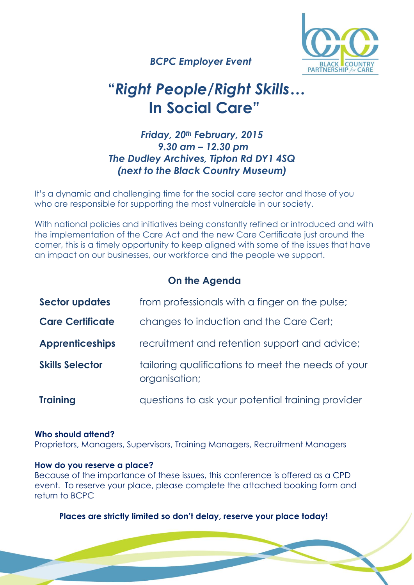

 *BCPC Employer Event*

# **"***Right People/Right Skills…* **In Social Care"**

## *Friday, 20th February, 2015 9.30 am – 12.30 pm The Dudley Archives, Tipton Rd DY1 4SQ (next to the Black Country Museum)*

It's a dynamic and challenging time for the social care sector and those of you who are responsible for supporting the most vulnerable in our society.

With national policies and initiatives being constantly refined or introduced and with the implementation of the Care Act and the new Care Certificate just around the corner, this is a timely opportunity to keep aligned with some of the issues that have an impact on our businesses, our workforce and the people we support.

## **On the Agenda**

| <b>Sector updates</b>   | from professionals with a finger on the pulse;                      |
|-------------------------|---------------------------------------------------------------------|
| <b>Care Certificate</b> | changes to induction and the Care Cert;                             |
| <b>Apprenticeships</b>  | recruitment and retention support and advice;                       |
| <b>Skills Selector</b>  | tailoring qualifications to meet the needs of your<br>organisation; |
| <b>Training</b>         | questions to ask your potential training provider                   |

### **Who should attend?**

Proprietors, Managers, Supervisors, Training Managers, Recruitment Managers

### **How do you reserve a place?**

Because of the importance of these issues, this conference is offered as a CPD event. To reserve your place, please complete the attached booking form and return to BCPC

### **Places are strictly limited so don't delay, reserve your place today!**